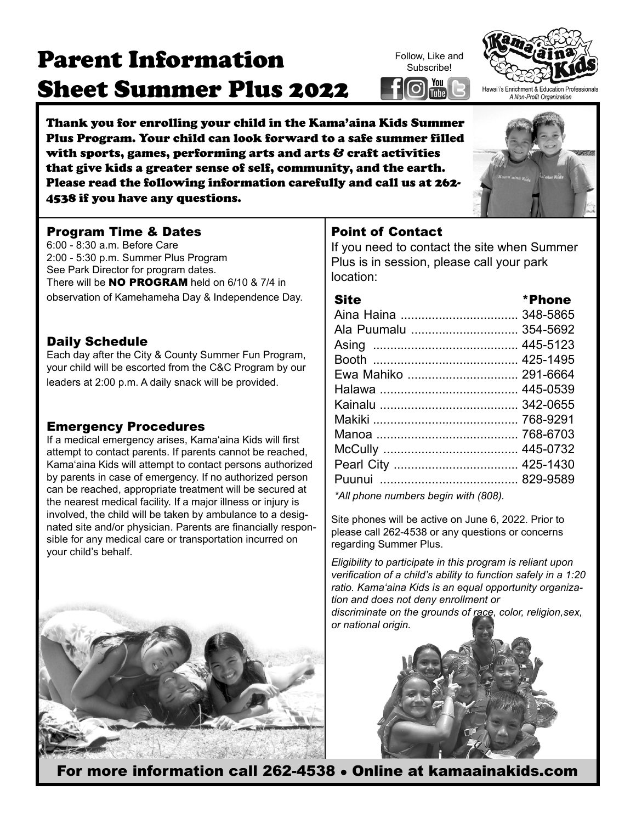# Parent Information Sheet Summer Plus 2022

Thank you for enrolling your child in the Kama'aina Kids Summer Plus Program. Your child can look forward to a safe summer filled with sports, games, performing arts and arts & craft activities that give kids a greater sense of self, community, and the earth. Please read the following information carefully and call us at 262- 4538 if you have any questions.

# Program Time & Dates

6:00 - 8:30 a.m. Before Care 2:00 - 5:30 p.m. Summer Plus Program See Park Director for program dates. There will be **NO PROGRAM** held on  $6/10$  &  $7/4$  in observation of Kamehameha Day & Independence Day.

### Daily Schedule

Each day after the City & County Summer Fun Program, your child will be escorted from the C&C Program by our leaders at 2:00 p.m. A daily snack will be provided.

# Emergency Procedures

If a medical emergency arises, Kama'aina Kids will first attempt to contact parents. If parents cannot be reached, Kama'aina Kids will attempt to contact persons authorized by parents in case of emergency. If no authorized person can be reached, appropriate treatment will be secured at the nearest medical facility. If a major illness or injury is involved, the child will be taken by ambulance to a designated site and/or physician. Parents are financially responsible for any medical care or transportation incurred on your child's behalf.



# Point of Contact

If you need to contact the site when Summer Plus is in session, please call your park location:

| <b>Site</b>                          | *Phone   |
|--------------------------------------|----------|
| Aina Haina  348-5865                 |          |
| Ala Puumalu                          | 354-5692 |
|                                      | 445-5123 |
|                                      | 425-1495 |
| Ewa Mahiko  291-6664                 |          |
|                                      |          |
|                                      |          |
|                                      |          |
|                                      |          |
|                                      |          |
|                                      |          |
|                                      |          |
| *All phone numbers begin with (808). |          |

Site phones will be active on June 6, 2022. Prior to please call 262-4538 or any questions or concerns regarding Summer Plus.

*Eligibility to participate in this program is reliant upon verification of a child's ability to function safely in a 1:20 ratio. Kama'aina Kids is an equal opportunity organization and does not deny enrollment or discriminate on the grounds of race, color, religion,sex, or national origin.*





Follow, Like and **Subscribe!** 

l You (

[Tube]